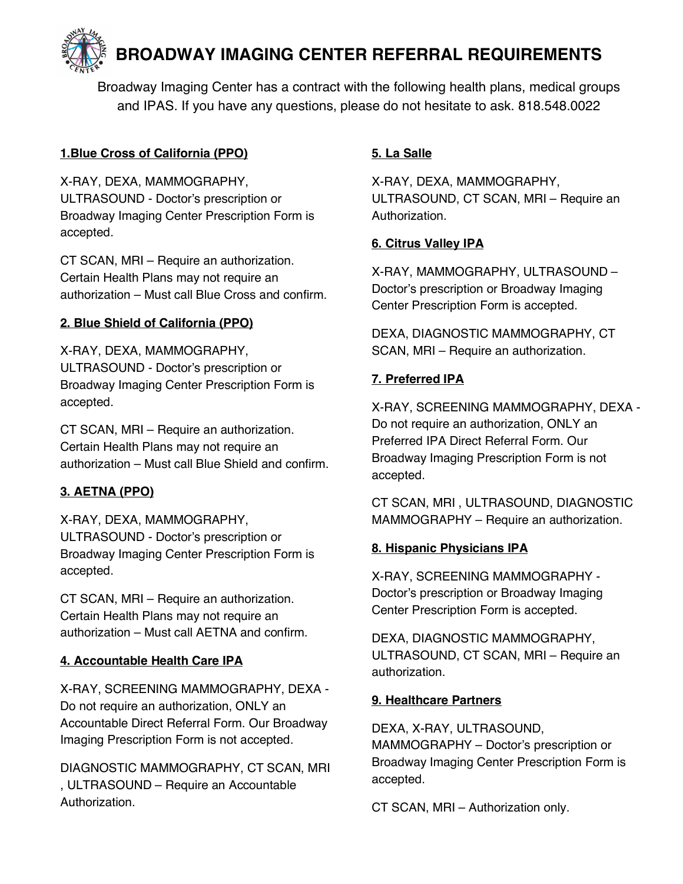**BROADWAY IMAGING CENTER REFERRAL REQUIREMENTS** 

Broadway Imaging Center has a contract with the following health plans, medical groups and IPAS. If you have any questions, please do not hesitate to ask. 818.548.0022

### **1.Blue Cross of California (PPO)**

X-RAY, DEXA, MAMMOGRAPHY, ULTRASOUND - Doctor's prescription or Broadway Imaging Center Prescription Form is accepted.

CT SCAN, MRI – Require an authorization. Certain Health Plans may not require an authorization – Must call Blue Cross and confirm.

## **2. Blue Shield of California (PPO)**

X-RAY, DEXA, MAMMOGRAPHY, ULTRASOUND - Doctor's prescription or Broadway Imaging Center Prescription Form is accepted.

CT SCAN, MRI – Require an authorization. Certain Health Plans may not require an authorization – Must call Blue Shield and confirm.

## **3. AETNA (PPO)**

X-RAY, DEXA, MAMMOGRAPHY, ULTRASOUND - Doctor's prescription or Broadway Imaging Center Prescription Form is accepted.

CT SCAN, MRI – Require an authorization. Certain Health Plans may not require an authorization – Must call AETNA and confirm.

### **4. Accountable Health Care IPA**

X-RAY, SCREENING MAMMOGRAPHY, DEXA - Do not require an authorization, ONLY an Accountable Direct Referral Form. Our Broadway Imaging Prescription Form is not accepted.

DIAGNOSTIC MAMMOGRAPHY, CT SCAN, MRI , ULTRASOUND – Require an Accountable Authorization.

# **5. La Salle**

X-RAY, DEXA, MAMMOGRAPHY, ULTRASOUND, CT SCAN, MRI – Require an Authorization.

## **6. Citrus Valley IPA**

X-RAY, MAMMOGRAPHY, ULTRASOUND – Doctor's prescription or Broadway Imaging Center Prescription Form is accepted.

DEXA, DIAGNOSTIC MAMMOGRAPHY, CT SCAN, MRI – Require an authorization.

## **7. Preferred IPA**

X-RAY, SCREENING MAMMOGRAPHY, DEXA - Do not require an authorization, ONLY an Preferred IPA Direct Referral Form. Our Broadway Imaging Prescription Form is not accepted.

CT SCAN, MRI , ULTRASOUND, DIAGNOSTIC MAMMOGRAPHY – Require an authorization.

## **8. Hispanic Physicians IPA**

X-RAY, SCREENING MAMMOGRAPHY - Doctor's prescription or Broadway Imaging Center Prescription Form is accepted.

DEXA, DIAGNOSTIC MAMMOGRAPHY, ULTRASOUND, CT SCAN, MRI – Require an authorization.

### **9. Healthcare Partners**

DEXA, X-RAY, ULTRASOUND, MAMMOGRAPHY – Doctor's prescription or Broadway Imaging Center Prescription Form is accepted.

CT SCAN, MRI – Authorization only.